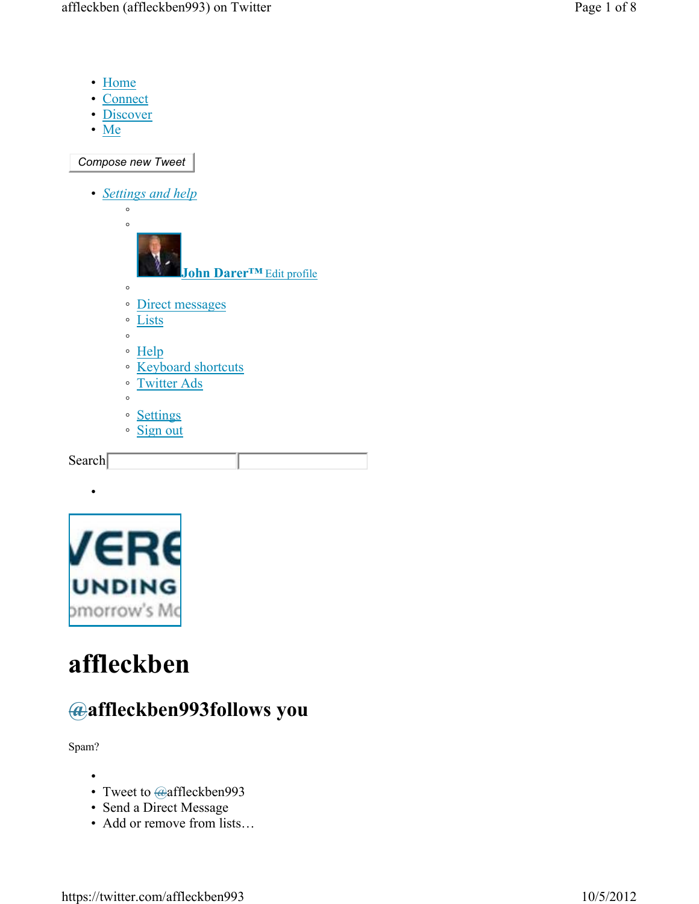- Home
- Connect
- Discover
- Me

*Compose new Tweet*

• *Settings and help*





•

# **affleckben**

## **@affleckben993follows you**

Spam?

- •
- Tweet to @affleckben993
- Send a Direct Message
- Add or remove from lists…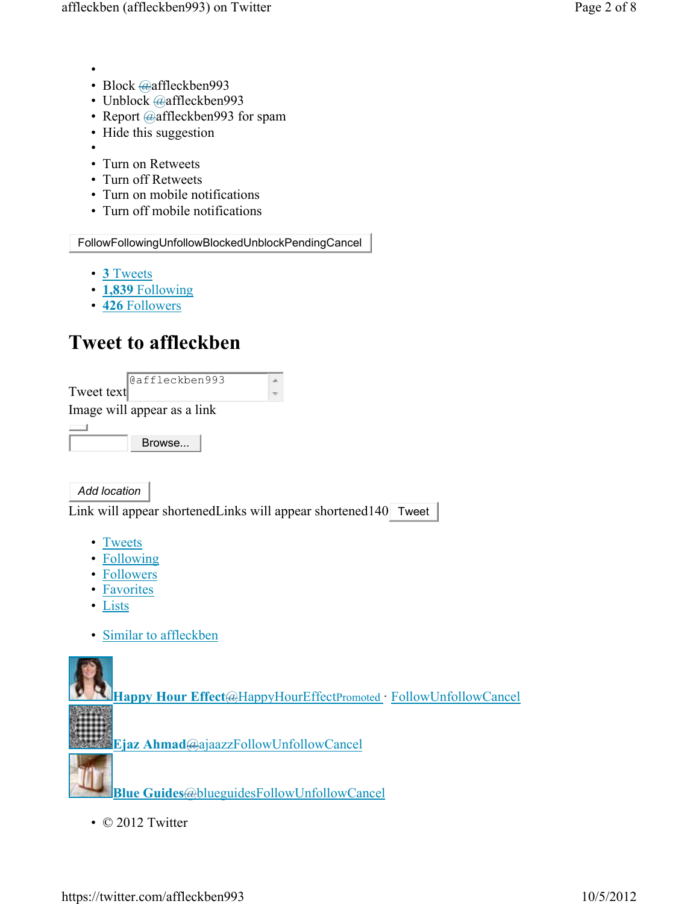- •
- Block @affleckben993
- Unblock @affleckben993
- Report @affleckben993 for spam
- Hide this suggestion
- •
- Turn on Retweets
- Turn off Retweets
- Turn on mobile notifications
- Turn off mobile notifications

FollowFollowingUnfollowBlockedUnblockPendingCancel

- **3** Tweets
- **1,839** Following
- **426** Followers

## **Tweet to affleckben**

|            | @affleckben993              |  |
|------------|-----------------------------|--|
| Tweet text |                             |  |
|            | Image will appear as a link |  |
|            |                             |  |
|            | Browse                      |  |

*Add location*

Link will appear shortenedLinks will appear shortened140 Tweet

- Tweets
- Following
- Followers
- Favorites
- Lists
- Similar to affleckben



**Blue Guides**@blueguidesFollowUnfollowCancel

• © 2012 Twitter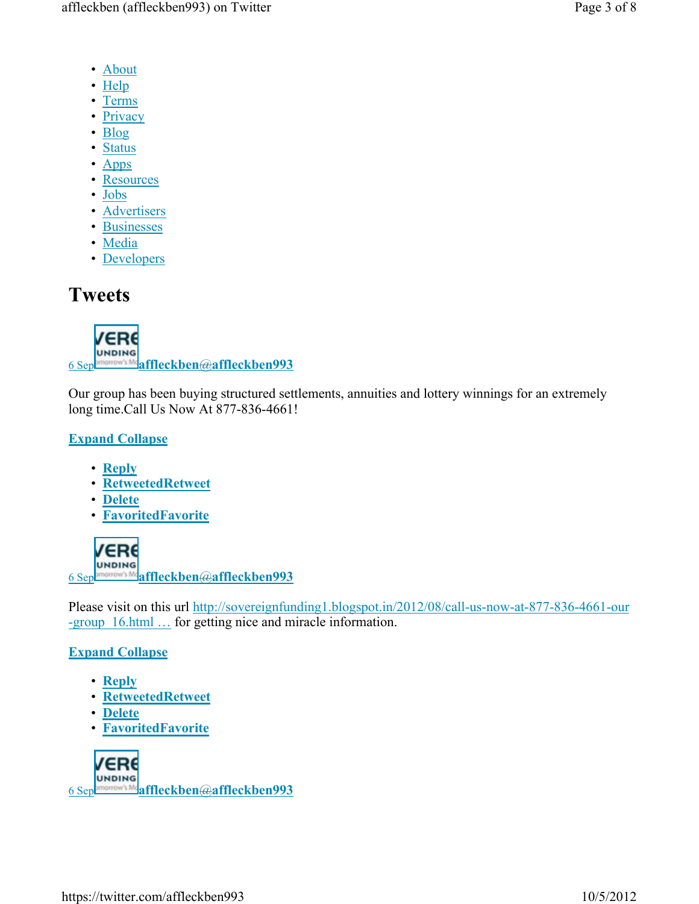- About
- Help
- Terms
- Privacy
- Blog
- Status
- Apps
- Resources
- Jobs
- Advertisers
- Businesses
- Media
- Developers

## **Tweets**



6 Sep **affleckben**@**affleckben993**

Our group has been buying structured settlements, annuities and lottery winnings for an extremely long time.Call Us Now At 877-836-4661!

## **Expand Collapse**

- **Reply**
- **RetweetedRetweet**
- **Delete**
- **FavoritedFavorite**



Please visit on this url http://sovereignfunding1.blogspot.in/2012/08/call-us-now-at-877-836-4661-our -group\_16.html … for getting nice and miracle information.

## **Expand Collapse**

- **Reply**
- **RetweetedRetweet**
- **Delete**
- **FavoritedFavorite**

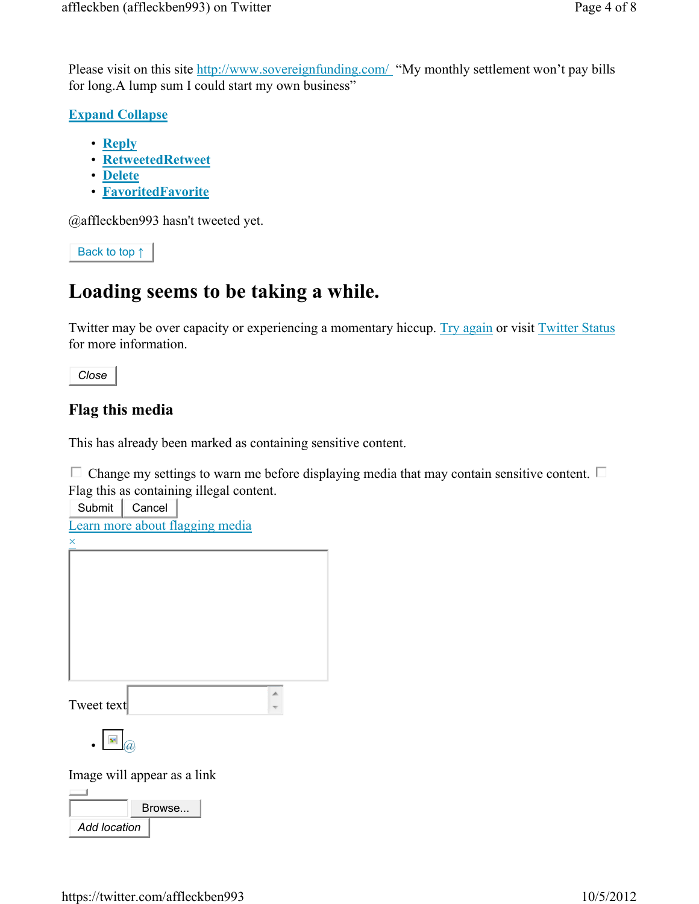Please visit on this site http://www.sovereignfunding.com/ "My monthly settlement won't pay bills for long.A lump sum I could start my own business"

**Expand Collapse** 

- **Reply**
- **RetweetedRetweet**
- **Delete**
- **FavoritedFavorite**

@affleckben993 hasn't tweeted yet.

Back to top ↑

## **Loading seems to be taking a while.**

Twitter may be over capacity or experiencing a momentary hiccup. Try again or visit Twitter Status for more information.

*Close*

## **Flag this media**

This has already been marked as containing sensitive content.

 $\Box$  Change my settings to warn me before displaying media that may contain sensitive content.  $\Box$ Flag this as containing illegal content.

Submit | Cancel Learn more about flagging media  $\times$ Tweet text  $\bullet \ \blacksquare$ Image will appear as a link Browse... *Add location*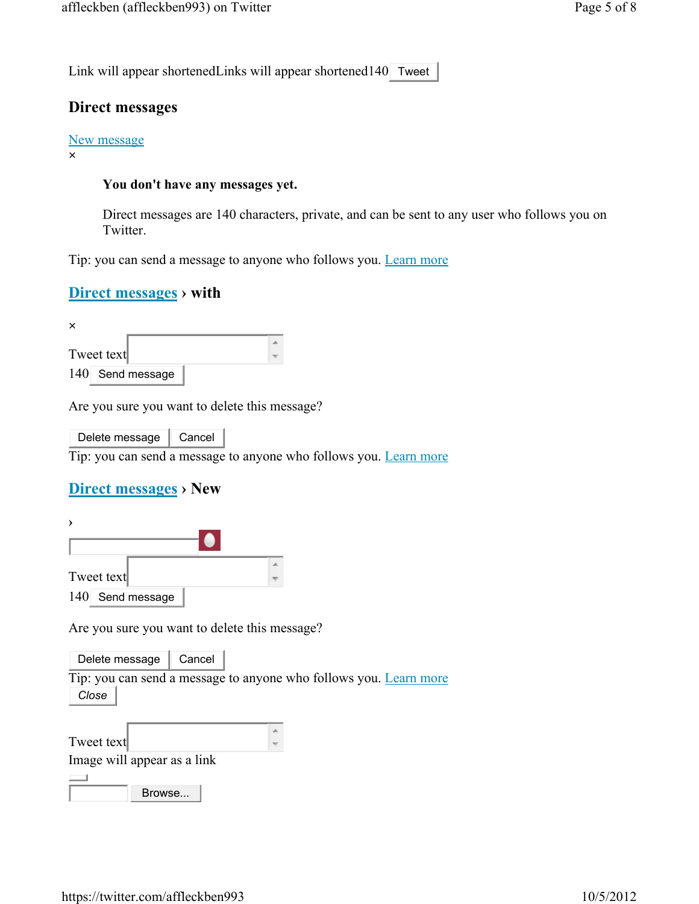Link will appear shortenedLinks will appear shortened140 Tweet

#### **Direct messages**

#### New message

**×**

#### **You don't have any messages yet.**

Direct messages are 140 characters, private, and can be sent to any user who follows you on Twitter.

Tip: you can send a message to anyone who follows you. Learn more

#### **Direct messages › with**

| $\times$         |  |
|------------------|--|
|                  |  |
| Tweet text       |  |
| 140 Send message |  |

Are you sure you want to delete this message?

Delete message  $\parallel$  Cancel

Tip: you can send a message to anyone who follows you. Learn more

### **Direct messages › New**

| Tweet text       |  |
|------------------|--|
| 140 Send message |  |

Are you sure you want to delete this message?

Delete message  $\|$  Cancel

Tip: you can send a message to anyone who follows you. Learn more *Close*

| Tweet text                  |  |
|-----------------------------|--|
| Image will appear as a link |  |
|                             |  |
| Browse                      |  |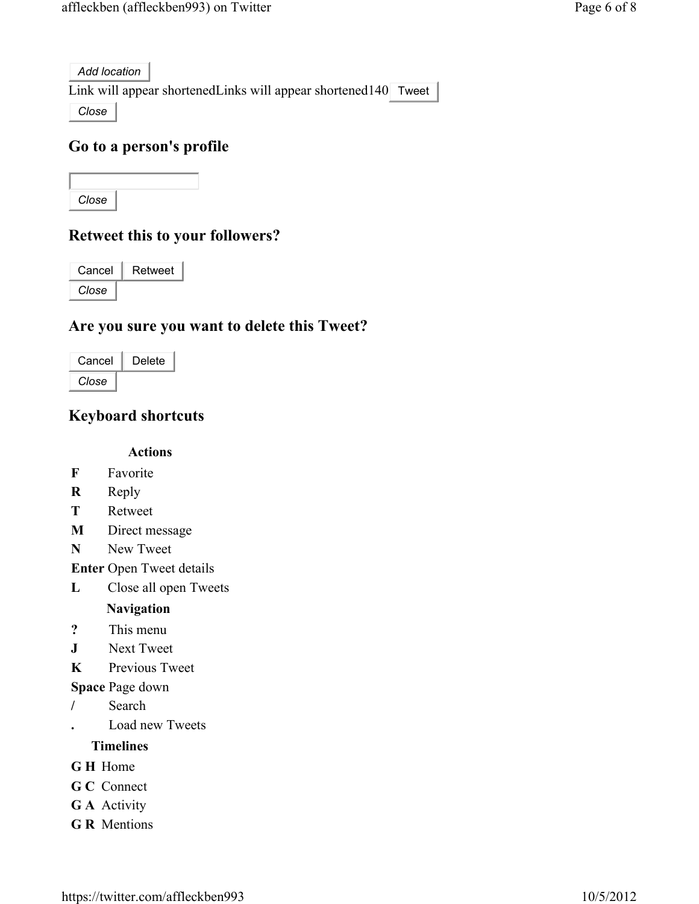*Add location*

Link will appear shortenedLinks will appear shortened140 Tweet

*Close*

### **Go to a person's profile**

*Close*

## **Retweet this to your followers?**

| Cancel | Retweet |
|--------|---------|
| Close  |         |

### **Are you sure you want to delete this Tweet?**

| Cancel | Delete |
|--------|--------|
| Close  |        |

## **Keyboard shortcuts**

**Actions**

- **F** Favorite
- **R** Reply
- **T** Retweet
- **M** Direct message
- **N** New Tweet

**Enter** Open Tweet details

**L** Close all open Tweets

#### **Navigation**

- **?** This menu
- **J** Next Tweet
- **K** Previous Tweet

#### **Space** Page down

- **/** Search
- **.** Load new Tweets

#### **Timelines**

- **G H** Home
- **G C** Connect
- **G A** Activity
- **G R** Mentions